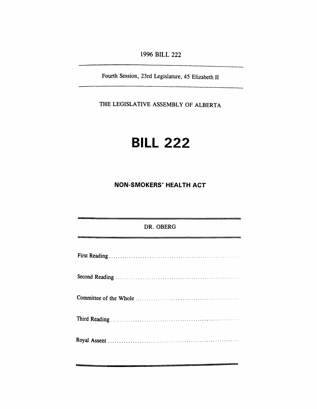*1996 BILL 222* 

 $\mathcal{L}_{\rm{max}}$ 

*Fourth Session, 23rd Legislature, 45 Elizabeth II*

*THE LEGISLATIVE ASSEMBLY OF ALBERTA*

# *BILL 222*

## *NON-SMOKERS' HEALTH ACT*

# *DR. OBERG*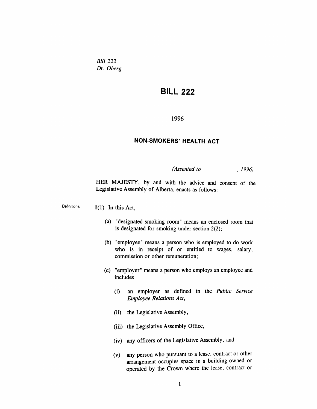*Bill 222 Dr. Oberg*

# *BILL 222*

*1996*

### *NON-SMOKERS' HEALTH ACT*

*(Assented to , 1996)*

*HER MAJESTY, by and with the advice and consent of the Legislative Assembly of Alberta, enacts as follows:*

*Definitions 1(1) In this Act,*

- *(a) "designated smoking room" means an enclosed room that is designated for smoking under section 2(2);*
- *(b) "employee" means a person who is employed to do work who is in receipt of or entitled to wages, salary, commission or other remuneration;*
- *(c) "employer" means a person who employs an employee and includes*
	- *(i) an employer as defined in the Public Service Employee Relations Act,*
	- *(ii) the Legislative Assembly,*
	- *(iii) the Legislative Assembly Office,*
	- *(iv) any officers of the Legislative Assembly, and*
	- *(v) any person who pursuant to a lease, contract or other arrangement occupies space in a building owned or operated by the Crown where the lease, contract or*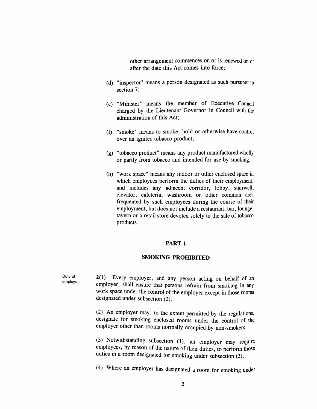*other arrangement commences on or is renewed on or after the date this Act comes into force;*

- *(d) "inspector" means a person designated as such pursuant to section 7;*
- *(e) "Minister" means the member of Executive Council charged by the Lieutenant Governor in Council with the administration of this Act;*
- *(f) "smoke" means to smoke, hold or otherwise have control over an ignited tobacco product;*
- *(g) "tobacco product" means any product manufactured wholly or partly from tobacco and intended for use by smoking;*
- *(h) "work space" means any indoor or other enclosed space in which employees perform the duties of their employment, and includes any adjacent corridor, lobby, stairwell, elevator, cafeteria, washroom or other common area frequented by such employees during the course of their employment, but does not include a restaurant, bar, lounge, tavern or a retail store devoted solely to the sale of tobacco products.*

#### *PART 1*

#### *SMOKING PROHIBITED*

*Duty of employer*

*2(1) Every employer, and any person acting on behalf of an employer, shall ensure that persons refrain from smoking in any work space under the control of the employer except in those rooms designated under subsection (2).*

*(2) An employer may, to the extent permitted by the regulations, designate for smoking enclosed rooms under the control of the employer other than rooms normally occupied by non-smokers.*

*(3) Notwithstanding subsection (1), an employer may require employees, by reason of the nature of their duties, to perform those duties in a room designated for smoking under subsection (2).*

*(4) Where an employer has designated a room for smoking under*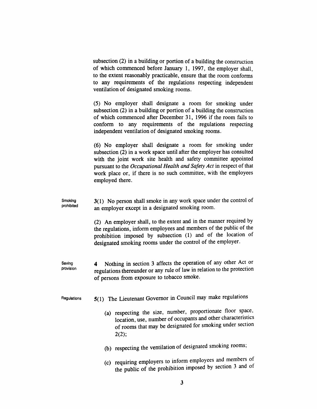*subsection (2) in a building or portion of a building the construction of which commenced before January 1, 1997, the employer shall, to the extent reasonably practicable, ensure that the room conforms to any requirements of the regulations respecting independent ventilation of designated smoking rooms.*

*(5) No employer shall designate a room for smoking under subsection (2) in a building or portion of a building the construction of which commenced after December 31, 1996 if the room fails to conform to any requirements of the regulations respecting independent ventilation of designated smoking rooms.*

*(6) No employer shall designate a room for smoking under subsection (2) in a work space until after the employer has consulted with the joint work site health and safety committee appointed pursuant to the Occupational Health and Safety Act in respect of that work place or, if there is no such committee, with the employees employed there.*

*Smoking prohibited 3(1) No person shall smoke in any work space under the control of an employer except in a designated smoking room.*

> *(2) An employer shall, to the extent and in the manner required by the regulations, inform employees and members of the public of the prohibition imposed by subsection (1) and of the location of designated smoking rooms under the control of the employer.*

*Saving provision 4 Nothing in section 3 affects the operation of any other Act or regulations thereunder or any rule of law in relation to the protection of persons from exposure to tobacco smoke.*

*Regulations 5(1) The Lieutenant Governor in Council may make regulations*

- *(a) respecting the size, number, proportionate floor space, location, use, number of occupants and other characteristics of rooms that may be designated for smoking under section 2(2);*
- *(b) respecting the ventilation of designated smoking rooms,*
- *(c) requiring employers to inform employees and members of the public of the prohibition imposed by section 3 and of*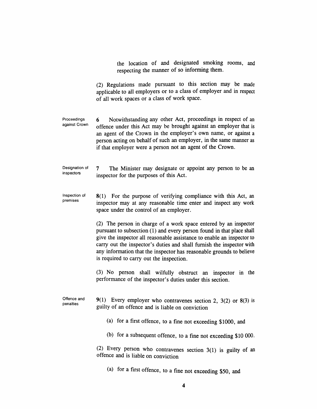*the location of and designated smoking rooms, and respecting the manner of so informing them.*

*(2) Regulations made pursuant to this section may be made applicable to all employers or to a class of employer and in respect of all work spaces or a class of work space.*

*Proceedings against Crown 6 Notwithstanding any other Act, proceedings in respect of an offence under this Act may be brought against an employer that is an agent of the Crown in the employer's own name, or against a person acting on behalf of such an employer, in the same manner as if that employer were a person not an agent of the Crown.*

*Designation of inspectors 7 The Minister may designate or appoint any person to be an inspector for the purposes of this Act.*

*Inspection of premises 8(1) For the purpose of verifying compliance with this Act, an inspector may at any reasonable time enter and inspect any work space under the control of an employer.*

> *(2) The person in charge of a work space entered by an inspector pursuant to subsection (1) and every person found in that place shall give the inspector all reasonable assistance to enable an inspector to carry out the inspector's duties and shall furnish the inspector with any information that the inspector has reasonable grounds to believe is required to carry out the inspection.*

> *(3) No person shall wilfully obstruct an inspector in the performance of the inspector's duties under this section.*

*Offence and penalties 9(1) Every employer who contravenes section 2, 3(2) or 8(3) is guilty of an offence and is liable on conviction*

- *(a) for a first offence, to a fine not exceeding \$1000, and*
- *(b) for a subsequent offence, to a fine not exceeding \$10 000.*

*(2) Every person who contravenes section 3(1) is guilty of an offence and is liable on conviction*

*(a) for a first offence, to a fine not exceeding \$50, and*